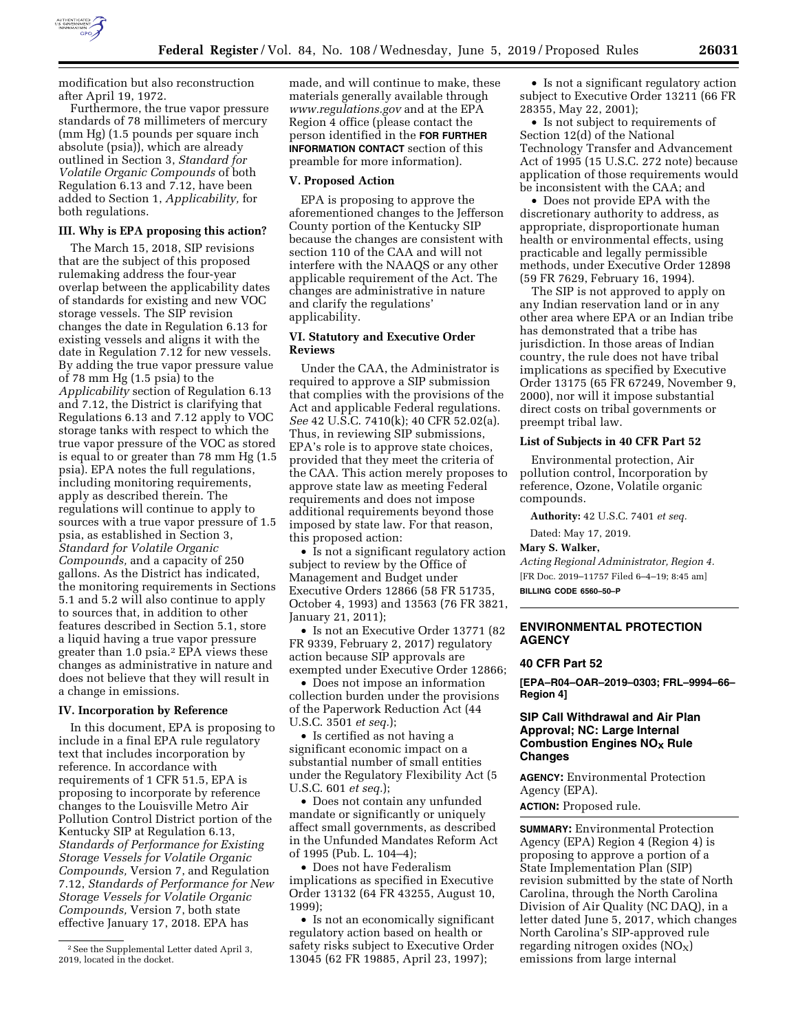

modification but also reconstruction after April 19, 1972.

Furthermore, the true vapor pressure standards of 78 millimeters of mercury (mm Hg) (1.5 pounds per square inch absolute (psia)), which are already outlined in Section 3, *Standard for Volatile Organic Compounds* of both Regulation 6.13 and 7.12, have been added to Section 1, *Applicability,* for both regulations.

#### **III. Why is EPA proposing this action?**

The March 15, 2018, SIP revisions that are the subject of this proposed rulemaking address the four-year overlap between the applicability dates of standards for existing and new VOC storage vessels. The SIP revision changes the date in Regulation 6.13 for existing vessels and aligns it with the date in Regulation 7.12 for new vessels. By adding the true vapor pressure value of 78 mm Hg (1.5 psia) to the *Applicability* section of Regulation 6.13 and 7.12, the District is clarifying that Regulations 6.13 and 7.12 apply to VOC storage tanks with respect to which the true vapor pressure of the VOC as stored is equal to or greater than 78 mm Hg (1.5 psia). EPA notes the full regulations, including monitoring requirements, apply as described therein. The regulations will continue to apply to sources with a true vapor pressure of 1.5 psia, as established in Section 3, *Standard for Volatile Organic Compounds,* and a capacity of 250 gallons. As the District has indicated, the monitoring requirements in Sections 5.1 and 5.2 will also continue to apply to sources that, in addition to other features described in Section 5.1, store a liquid having a true vapor pressure greater than 1.0 psia.2 EPA views these changes as administrative in nature and does not believe that they will result in a change in emissions.

#### **IV. Incorporation by Reference**

In this document, EPA is proposing to include in a final EPA rule regulatory text that includes incorporation by reference. In accordance with requirements of 1 CFR 51.5, EPA is proposing to incorporate by reference changes to the Louisville Metro Air Pollution Control District portion of the Kentucky SIP at Regulation 6.13, *Standards of Performance for Existing Storage Vessels for Volatile Organic Compounds,* Version 7, and Regulation 7.12, *Standards of Performance for New Storage Vessels for Volatile Organic Compounds,* Version 7, both state effective January 17, 2018. EPA has

made, and will continue to make, these materials generally available through *[www.regulations.gov](http://www.regulations.gov)* and at the EPA Region 4 office (please contact the person identified in the **FOR FURTHER INFORMATION CONTACT** section of this preamble for more information).

#### **V. Proposed Action**

EPA is proposing to approve the aforementioned changes to the Jefferson County portion of the Kentucky SIP because the changes are consistent with section 110 of the CAA and will not interfere with the NAAQS or any other applicable requirement of the Act. The changes are administrative in nature and clarify the regulations' applicability.

### **VI. Statutory and Executive Order Reviews**

Under the CAA, the Administrator is required to approve a SIP submission that complies with the provisions of the Act and applicable Federal regulations. *See* 42 U.S.C. 7410(k); 40 CFR 52.02(a). Thus, in reviewing SIP submissions, EPA's role is to approve state choices, provided that they meet the criteria of the CAA. This action merely proposes to approve state law as meeting Federal requirements and does not impose additional requirements beyond those imposed by state law. For that reason, this proposed action:

• Is not a significant regulatory action subject to review by the Office of Management and Budget under Executive Orders 12866 (58 FR 51735, October 4, 1993) and 13563 (76 FR 3821, January 21, 2011);

• Is not an Executive Order 13771 (82 FR 9339, February 2, 2017) regulatory action because SIP approvals are exempted under Executive Order 12866;

• Does not impose an information collection burden under the provisions of the Paperwork Reduction Act (44 U.S.C. 3501 *et seq.*);

• Is certified as not having a significant economic impact on a substantial number of small entities under the Regulatory Flexibility Act (5 U.S.C. 601 *et seq.*);

• Does not contain any unfunded mandate or significantly or uniquely affect small governments, as described in the Unfunded Mandates Reform Act of 1995 (Pub. L. 104–4);

• Does not have Federalism implications as specified in Executive Order 13132 (64 FR 43255, August 10, 1999);

• Is not an economically significant regulatory action based on health or safety risks subject to Executive Order 13045 (62 FR 19885, April 23, 1997);

• Is not a significant regulatory action subject to Executive Order 13211 (66 FR 28355, May 22, 2001);

• Is not subject to requirements of Section 12(d) of the National Technology Transfer and Advancement Act of 1995 (15 U.S.C. 272 note) because application of those requirements would be inconsistent with the CAA; and

• Does not provide EPA with the discretionary authority to address, as appropriate, disproportionate human health or environmental effects, using practicable and legally permissible methods, under Executive Order 12898 (59 FR 7629, February 16, 1994).

The SIP is not approved to apply on any Indian reservation land or in any other area where EPA or an Indian tribe has demonstrated that a tribe has jurisdiction. In those areas of Indian country, the rule does not have tribal implications as specified by Executive Order 13175 (65 FR 67249, November 9, 2000), nor will it impose substantial direct costs on tribal governments or preempt tribal law.

### **List of Subjects in 40 CFR Part 52**

Environmental protection, Air pollution control, Incorporation by reference, Ozone, Volatile organic compounds.

**Authority:** 42 U.S.C. 7401 *et seq.* 

### Dated: May 17, 2019.

# **Mary S. Walker,**

*Acting Regional Administrator, Region 4.*  [FR Doc. 2019–11757 Filed 6–4–19; 8:45 am] **BILLING CODE 6560–50–P** 

# **ENVIRONMENTAL PROTECTION AGENCY**

#### **40 CFR Part 52**

**[EPA–R04–OAR–2019–0303; FRL–9994–66– Region 4]** 

# **SIP Call Withdrawal and Air Plan Approval; NC: Large Internal Combustion Engines NO<sub>x</sub> Rule Changes**

**AGENCY:** Environmental Protection Agency (EPA). **ACTION:** Proposed rule.

**SUMMARY:** Environmental Protection Agency (EPA) Region 4 (Region 4) is proposing to approve a portion of a State Implementation Plan (SIP) revision submitted by the state of North Carolina, through the North Carolina Division of Air Quality (NC DAQ), in a letter dated June 5, 2017, which changes North Carolina's SIP-approved rule regarding nitrogen oxides  $(NO<sub>X</sub>)$ emissions from large internal

<sup>2</sup>See the Supplemental Letter dated April 3, 2019, located in the docket.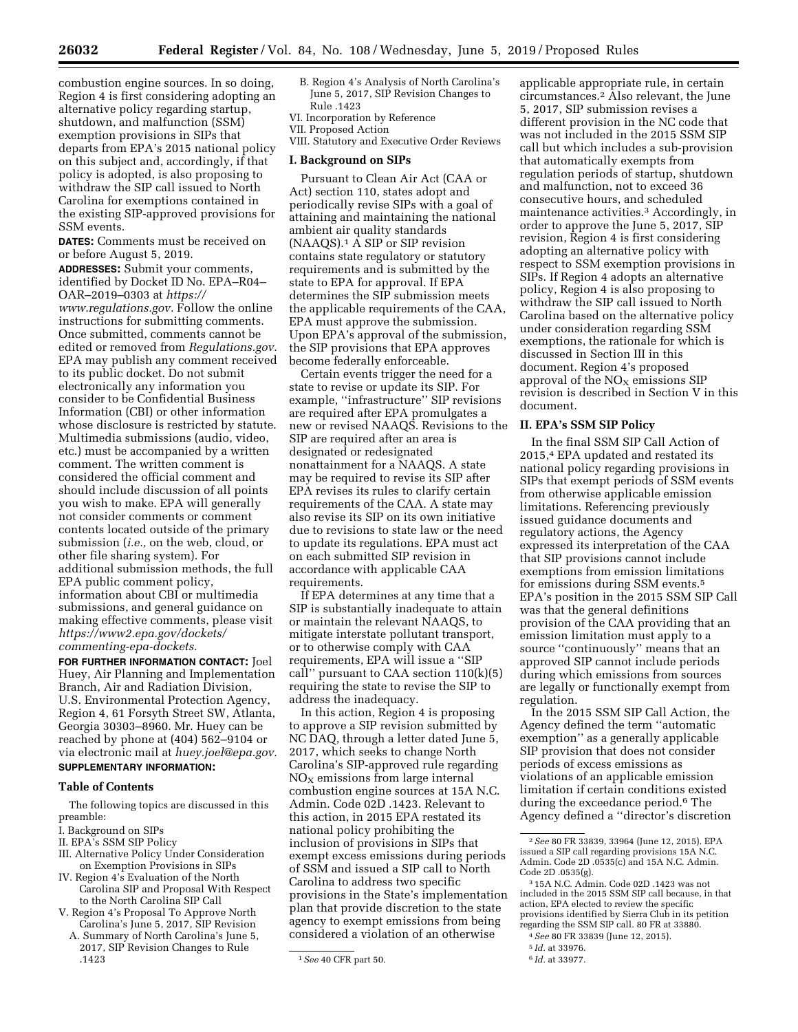combustion engine sources. In so doing, Region 4 is first considering adopting an alternative policy regarding startup, shutdown, and malfunction (SSM) exemption provisions in SIPs that departs from EPA's 2015 national policy on this subject and, accordingly, if that policy is adopted, is also proposing to withdraw the SIP call issued to North Carolina for exemptions contained in the existing SIP-approved provisions for SSM events.

**DATES:** Comments must be received on or before August 5, 2019.

**ADDRESSES:** Submit your comments, identified by Docket ID No. EPA–R04– OAR–2019–0303 at *[https://](https://www.regulations.gov) [www.regulations.gov.](https://www.regulations.gov)* Follow the online instructions for submitting comments. Once submitted, comments cannot be edited or removed from *Regulations.gov.*  EPA may publish any comment received to its public docket. Do not submit electronically any information you consider to be Confidential Business Information (CBI) or other information whose disclosure is restricted by statute. Multimedia submissions (audio, video, etc.) must be accompanied by a written comment. The written comment is considered the official comment and should include discussion of all points you wish to make. EPA will generally not consider comments or comment contents located outside of the primary submission (*i.e.,* on the web, cloud, or other file sharing system). For additional submission methods, the full EPA public comment policy, information about CBI or multimedia submissions, and general guidance on making effective comments, please visit *[https://www2.epa.gov/dockets/](https://www2.epa.gov/dockets/commenting-epa-dockets)  [commenting-epa-dockets.](https://www2.epa.gov/dockets/commenting-epa-dockets)* 

**FOR FURTHER INFORMATION CONTACT:** Joel Huey, Air Planning and Implementation Branch, Air and Radiation Division, U.S. Environmental Protection Agency, Region 4, 61 Forsyth Street SW, Atlanta, Georgia 30303–8960. Mr. Huey can be reached by phone at (404) 562–9104 or via electronic mail at *[huey.joel@epa.gov.](mailto:huey.joel@epa.gov)* 

# **SUPPLEMENTARY INFORMATION:**

# **Table of Contents**

The following topics are discussed in this preamble:

- I. Background on SIPs
- II. EPA's SSM SIP Policy
- III. Alternative Policy Under Consideration on Exemption Provisions in SIPs
- IV. Region 4's Evaluation of the North Carolina SIP and Proposal With Respect to the North Carolina SIP Call
- V. Region 4's Proposal To Approve North Carolina's June 5, 2017, SIP Revision
- A. Summary of North Carolina's June 5, 2017, SIP Revision Changes to Rule .1423
- B. Region 4's Analysis of North Carolina's June 5, 2017, SIP Revision Changes to Rule .1423
- VI. Incorporation by Reference VII. Proposed Action

VIII. Statutory and Executive Order Reviews

#### **I. Background on SIPs**

Pursuant to Clean Air Act (CAA or Act) section 110, states adopt and periodically revise SIPs with a goal of attaining and maintaining the national ambient air quality standards (NAAQS).1 A SIP or SIP revision contains state regulatory or statutory requirements and is submitted by the state to EPA for approval. If EPA determines the SIP submission meets the applicable requirements of the CAA, EPA must approve the submission. Upon EPA's approval of the submission, the SIP provisions that EPA approves become federally enforceable.

Certain events trigger the need for a state to revise or update its SIP. For example, ''infrastructure'' SIP revisions are required after EPA promulgates a new or revised NAAQS. Revisions to the SIP are required after an area is designated or redesignated nonattainment for a NAAQS. A state may be required to revise its SIP after EPA revises its rules to clarify certain requirements of the CAA. A state may also revise its SIP on its own initiative due to revisions to state law or the need to update its regulations. EPA must act on each submitted SIP revision in accordance with applicable CAA requirements.

If EPA determines at any time that a SIP is substantially inadequate to attain or maintain the relevant NAAQS, to mitigate interstate pollutant transport, or to otherwise comply with CAA requirements, EPA will issue a ''SIP call'' pursuant to CAA section 110(k)(5) requiring the state to revise the SIP to address the inadequacy.

In this action, Region 4 is proposing to approve a SIP revision submitted by NC DAQ, through a letter dated June 5, 2017, which seeks to change North Carolina's SIP-approved rule regarding  $NO<sub>x</sub>$  emissions from large internal combustion engine sources at 15A N.C. Admin. Code 02D .1423. Relevant to this action, in 2015 EPA restated its national policy prohibiting the inclusion of provisions in SIPs that exempt excess emissions during periods of SSM and issued a SIP call to North Carolina to address two specific provisions in the State's implementation plan that provide discretion to the state agency to exempt emissions from being considered a violation of an otherwise

applicable appropriate rule, in certain circumstances.2 Also relevant, the June 5, 2017, SIP submission revises a different provision in the NC code that was not included in the 2015 SSM SIP call but which includes a sub-provision that automatically exempts from regulation periods of startup, shutdown and malfunction, not to exceed 36 consecutive hours, and scheduled maintenance activities.3 Accordingly, in order to approve the June 5, 2017, SIP revision, Region 4 is first considering adopting an alternative policy with respect to SSM exemption provisions in SIPs. If Region 4 adopts an alternative policy, Region 4 is also proposing to withdraw the SIP call issued to North Carolina based on the alternative policy under consideration regarding SSM exemptions, the rationale for which is discussed in Section III in this document. Region 4's proposed approval of the  $NO<sub>X</sub>$  emissions SIP revision is described in Section V in this document.

# **II. EPA's SSM SIP Policy**

In the final SSM SIP Call Action of 2015,4 EPA updated and restated its national policy regarding provisions in SIPs that exempt periods of SSM events from otherwise applicable emission limitations. Referencing previously issued guidance documents and regulatory actions, the Agency expressed its interpretation of the CAA that SIP provisions cannot include exemptions from emission limitations for emissions during SSM events.5 EPA's position in the 2015 SSM SIP Call was that the general definitions provision of the CAA providing that an emission limitation must apply to a source ''continuously'' means that an approved SIP cannot include periods during which emissions from sources are legally or functionally exempt from regulation.

In the 2015 SSM SIP Call Action, the Agency defined the term ''automatic exemption'' as a generally applicable SIP provision that does not consider periods of excess emissions as violations of an applicable emission limitation if certain conditions existed during the exceedance period.<sup>6</sup> The Agency defined a ''director's discretion

4*See* 80 FR 33839 (June 12, 2015).

6 *Id.* at 33977.

<sup>1</sup>*See* 40 CFR part 50.

<sup>2</sup>*See* 80 FR 33839, 33964 (June 12, 2015). EPA issued a SIP call regarding provisions 15A N.C. Admin. Code 2D .0535(c) and 15A N.C. Admin. Code 2D .0535(g).

<sup>3</sup> 15A N.C. Admin. Code 02D .1423 was not included in the 2015 SSM SIP call because, in that action, EPA elected to review the specific provisions identified by Sierra Club in its petition regarding the SSM SIP call. 80 FR at 33880.

<sup>5</sup> *Id.* at 33976.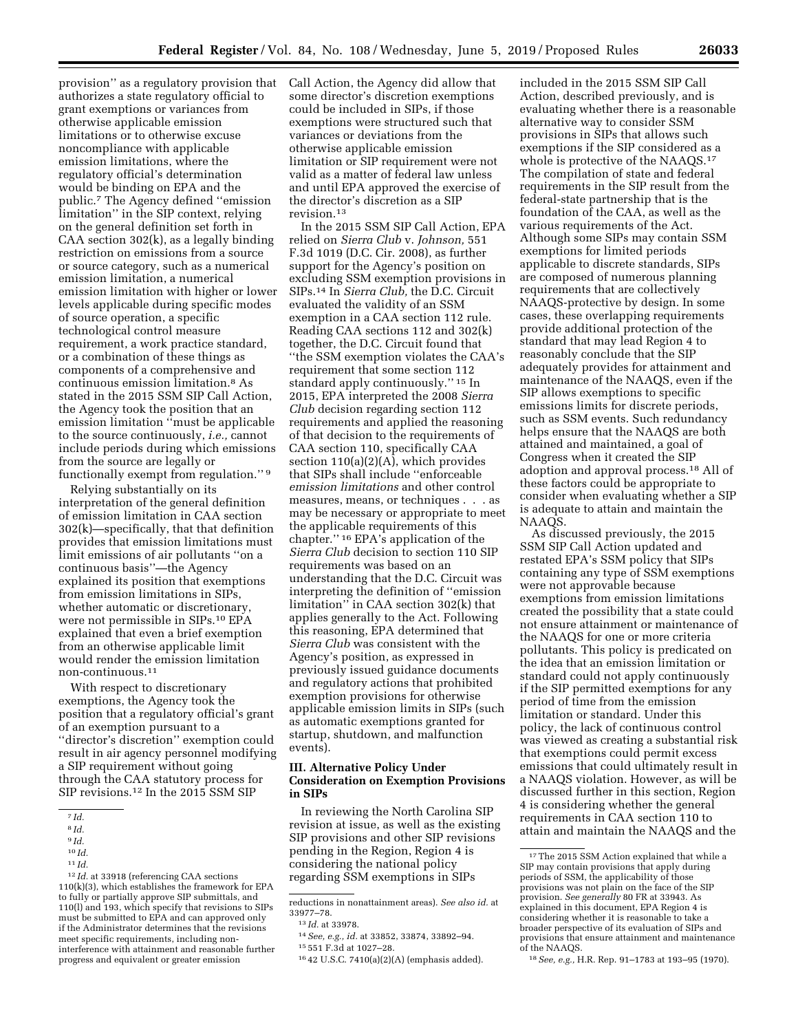provision'' as a regulatory provision that Call Action, the Agency did allow that authorizes a state regulatory official to grant exemptions or variances from otherwise applicable emission limitations or to otherwise excuse noncompliance with applicable emission limitations, where the regulatory official's determination would be binding on EPA and the public.7 The Agency defined ''emission limitation'' in the SIP context, relying on the general definition set forth in CAA section 302(k), as a legally binding restriction on emissions from a source or source category, such as a numerical emission limitation, a numerical emission limitation with higher or lower levels applicable during specific modes of source operation, a specific technological control measure requirement, a work practice standard, or a combination of these things as components of a comprehensive and continuous emission limitation.8 As stated in the 2015 SSM SIP Call Action, the Agency took the position that an emission limitation ''must be applicable to the source continuously, *i.e.,* cannot include periods during which emissions from the source are legally or functionally exempt from regulation."<sup>9</sup>

Relying substantially on its interpretation of the general definition of emission limitation in CAA section 302(k)—specifically, that that definition provides that emission limitations must limit emissions of air pollutants ''on a continuous basis''—the Agency explained its position that exemptions from emission limitations in SIPs, whether automatic or discretionary, were not permissible in SIPs.10 EPA explained that even a brief exemption from an otherwise applicable limit would render the emission limitation non-continuous.11

With respect to discretionary exemptions, the Agency took the position that a regulatory official's grant of an exemption pursuant to a ''director's discretion'' exemption could result in air agency personnel modifying a SIP requirement without going through the CAA statutory process for SIP revisions.12 In the 2015 SSM SIP

some director's discretion exemptions could be included in SIPs, if those exemptions were structured such that variances or deviations from the otherwise applicable emission limitation or SIP requirement were not valid as a matter of federal law unless and until EPA approved the exercise of the director's discretion as a SIP revision.13

In the 2015 SSM SIP Call Action, EPA relied on *Sierra Club* v. *Johnson,* 551 F.3d 1019 (D.C. Cir. 2008), as further support for the Agency's position on excluding SSM exemption provisions in SIPs.14 In *Sierra Club,* the D.C. Circuit evaluated the validity of an SSM exemption in a CAA section 112 rule. Reading CAA sections 112 and 302(k) together, the D.C. Circuit found that ''the SSM exemption violates the CAA's requirement that some section 112 standard apply continuously.'' 15 In 2015, EPA interpreted the 2008 *Sierra Club* decision regarding section 112 requirements and applied the reasoning of that decision to the requirements of CAA section 110, specifically CAA section 110(a)(2)(A), which provides that SIPs shall include ''enforceable *emission limitations* and other control measures, means, or techniques . . . as may be necessary or appropriate to meet the applicable requirements of this chapter.'' 16 EPA's application of the *Sierra Club* decision to section 110 SIP requirements was based on an understanding that the D.C. Circuit was interpreting the definition of ''emission limitation'' in CAA section 302(k) that applies generally to the Act. Following this reasoning, EPA determined that *Sierra Club* was consistent with the Agency's position, as expressed in previously issued guidance documents and regulatory actions that prohibited exemption provisions for otherwise applicable emission limits in SIPs (such as automatic exemptions granted for startup, shutdown, and malfunction events).

# **III. Alternative Policy Under Consideration on Exemption Provisions in SIPs**

In reviewing the North Carolina SIP revision at issue, as well as the existing SIP provisions and other SIP revisions pending in the Region, Region 4 is considering the national policy regarding SSM exemptions in SIPs

included in the 2015 SSM SIP Call Action, described previously, and is evaluating whether there is a reasonable alternative way to consider SSM provisions in SIPs that allows such exemptions if the SIP considered as a whole is protective of the NAAQS.<sup>17</sup> The compilation of state and federal requirements in the SIP result from the federal-state partnership that is the foundation of the CAA, as well as the various requirements of the Act. Although some SIPs may contain SSM exemptions for limited periods applicable to discrete standards, SIPs are composed of numerous planning requirements that are collectively NAAQS-protective by design. In some cases, these overlapping requirements provide additional protection of the standard that may lead Region 4 to reasonably conclude that the SIP adequately provides for attainment and maintenance of the NAAQS, even if the SIP allows exemptions to specific emissions limits for discrete periods, such as SSM events. Such redundancy helps ensure that the NAAQS are both attained and maintained, a goal of Congress when it created the SIP adoption and approval process.18 All of these factors could be appropriate to consider when evaluating whether a SIP is adequate to attain and maintain the NAAQS.

As discussed previously, the 2015 SSM SIP Call Action updated and restated EPA's SSM policy that SIPs containing any type of SSM exemptions were not approvable because exemptions from emission limitations created the possibility that a state could not ensure attainment or maintenance of the NAAQS for one or more criteria pollutants. This policy is predicated on the idea that an emission limitation or standard could not apply continuously if the SIP permitted exemptions for any period of time from the emission limitation or standard. Under this policy, the lack of continuous control was viewed as creating a substantial risk that exemptions could permit excess emissions that could ultimately result in a NAAQS violation. However, as will be discussed further in this section, Region 4 is considering whether the general requirements in CAA section 110 to attain and maintain the NAAQS and the

<sup>7</sup> *Id.* 

<sup>8</sup> *Id.* 

<sup>9</sup> *Id.* 

<sup>10</sup> *Id.* 

<sup>11</sup> *Id.* 

<sup>12</sup> *Id.* at 33918 (referencing CAA sections 110(k)(3), which establishes the framework for EPA to fully or partially approve SIP submittals, and 110(l) and 193, which specify that revisions to SIPs must be submitted to EPA and can approved only if the Administrator determines that the revisions meet specific requirements, including noninterference with attainment and reasonable further progress and equivalent or greater emission

reductions in nonattainment areas). *See also id.* at 33977–78.

<sup>13</sup> *Id.* at 33978.

<sup>14</sup>*See, e.g., id.* at 33852, 33874, 33892–94.

<sup>15</sup> 551 F.3d at 1027–28.

<sup>16</sup> 42 U.S.C. 7410(a)(2)(A) (emphasis added).

<sup>&</sup>lt;sup>17</sup>The 2015 SSM Action explained that while a SIP may contain provisions that apply during periods of SSM, the applicability of those provisions was not plain on the face of the SIP provision. *See generally* 80 FR at 33943. As explained in this document, EPA Region 4 is considering whether it is reasonable to take a broader perspective of its evaluation of SIPs and provisions that ensure attainment and maintenance of the NAAQS.

<sup>18</sup>*See, e.g.,* H.R. Rep. 91–1783 at 193–95 (1970).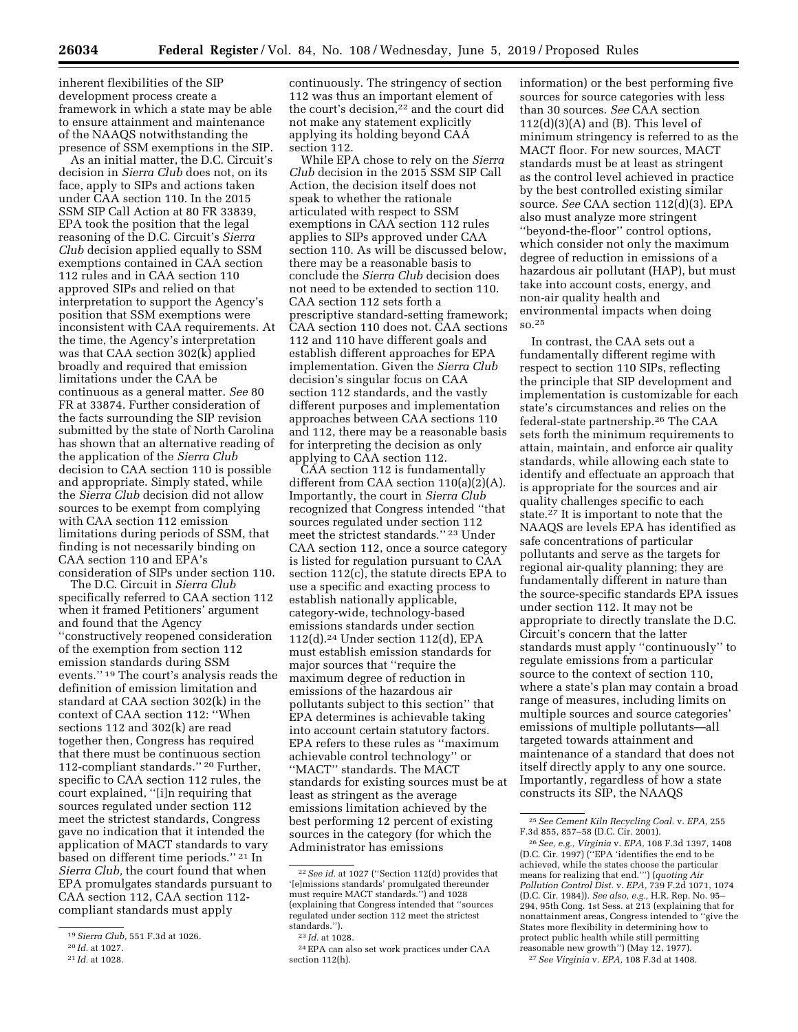inherent flexibilities of the SIP development process create a framework in which a state may be able to ensure attainment and maintenance of the NAAQS notwithstanding the presence of SSM exemptions in the SIP.

As an initial matter, the D.C. Circuit's decision in *Sierra Club* does not, on its face, apply to SIPs and actions taken under CAA section 110. In the 2015 SSM SIP Call Action at 80 FR 33839, EPA took the position that the legal reasoning of the D.C. Circuit's *Sierra Club* decision applied equally to SSM exemptions contained in CAA section 112 rules and in CAA section 110 approved SIPs and relied on that interpretation to support the Agency's position that SSM exemptions were inconsistent with CAA requirements. At the time, the Agency's interpretation was that CAA section 302(k) applied broadly and required that emission limitations under the CAA be continuous as a general matter. *See* 80 FR at 33874. Further consideration of the facts surrounding the SIP revision submitted by the state of North Carolina has shown that an alternative reading of the application of the *Sierra Club*  decision to CAA section 110 is possible and appropriate. Simply stated, while the *Sierra Club* decision did not allow sources to be exempt from complying with CAA section 112 emission limitations during periods of SSM, that finding is not necessarily binding on CAA section 110 and EPA's consideration of SIPs under section 110.

The D.C. Circuit in *Sierra Club*  specifically referred to CAA section 112 when it framed Petitioners' argument and found that the Agency ''constructively reopened consideration of the exemption from section 112 emission standards during SSM events.'' 19 The court's analysis reads the definition of emission limitation and standard at CAA section 302(k) in the context of CAA section 112: ''When sections 112 and 302(k) are read together then, Congress has required that there must be continuous section 112-compliant standards.'' 20 Further, specific to CAA section 112 rules, the court explained, ''[i]n requiring that sources regulated under section 112 meet the strictest standards, Congress gave no indication that it intended the application of MACT standards to vary based on different time periods.'' 21 In *Sierra Club,* the court found that when EPA promulgates standards pursuant to CAA section 112, CAA section 112 compliant standards must apply

21 *Id.* at 1028.

continuously. The stringency of section 112 was thus an important element of the court's decision,22 and the court did not make any statement explicitly applying its holding beyond CAA section 112.

While EPA chose to rely on the *Sierra Club* decision in the 2015 SSM SIP Call Action, the decision itself does not speak to whether the rationale articulated with respect to SSM exemptions in CAA section 112 rules applies to SIPs approved under CAA section 110. As will be discussed below, there may be a reasonable basis to conclude the *Sierra Club* decision does not need to be extended to section 110. CAA section 112 sets forth a prescriptive standard-setting framework; CAA section 110 does not. CAA sections 112 and 110 have different goals and establish different approaches for EPA implementation. Given the *Sierra Club*  decision's singular focus on CAA section 112 standards, and the vastly different purposes and implementation approaches between CAA sections 110 and 112, there may be a reasonable basis for interpreting the decision as only applying to CAA section 112.

CAA section 112 is fundamentally different from CAA section 110(a)(2)(A). Importantly, the court in *Sierra Club*  recognized that Congress intended ''that sources regulated under section 112 meet the strictest standards.'' 23 Under CAA section 112, once a source category is listed for regulation pursuant to CAA section 112(c), the statute directs EPA to use a specific and exacting process to establish nationally applicable, category-wide, technology-based emissions standards under section 112(d).24 Under section 112(d), EPA must establish emission standards for major sources that ''require the maximum degree of reduction in emissions of the hazardous air pollutants subject to this section'' that EPA determines is achievable taking into account certain statutory factors. EPA refers to these rules as ''maximum achievable control technology'' or ''MACT'' standards. The MACT standards for existing sources must be at least as stringent as the average emissions limitation achieved by the best performing 12 percent of existing sources in the category (for which the Administrator has emissions

information) or the best performing five sources for source categories with less than 30 sources. *See* CAA section  $112(d)(3)(A)$  and  $(B)$ . This level of minimum stringency is referred to as the MACT floor. For new sources, MACT standards must be at least as stringent as the control level achieved in practice by the best controlled existing similar source. *See* CAA section 112(d)(3). EPA also must analyze more stringent ''beyond-the-floor'' control options, which consider not only the maximum degree of reduction in emissions of a hazardous air pollutant (HAP), but must take into account costs, energy, and non-air quality health and environmental impacts when doing so.25

In contrast, the CAA sets out a fundamentally different regime with respect to section 110 SIPs, reflecting the principle that SIP development and implementation is customizable for each state's circumstances and relies on the federal-state partnership.26 The CAA sets forth the minimum requirements to attain, maintain, and enforce air quality standards, while allowing each state to identify and effectuate an approach that is appropriate for the sources and air quality challenges specific to each state.27 It is important to note that the NAAQS are levels EPA has identified as safe concentrations of particular pollutants and serve as the targets for regional air-quality planning; they are fundamentally different in nature than the source-specific standards EPA issues under section 112. It may not be appropriate to directly translate the D.C. Circuit's concern that the latter standards must apply ''continuously'' to regulate emissions from a particular source to the context of section 110, where a state's plan may contain a broad range of measures, including limits on multiple sources and source categories' emissions of multiple pollutants—all targeted towards attainment and maintenance of a standard that does not itself directly apply to any one source. Importantly, regardless of how a state constructs its SIP, the NAAQS

<sup>19</sup>*Sierra Club,* 551 F.3d at 1026.

<sup>20</sup> *Id.* at 1027.

<sup>22</sup>*See id.* at 1027 (''Section 112(d) provides that '[e]missions standards' promulgated thereunder must require MACT standards.'') and 1028 (explaining that Congress intended that ''sources regulated under section 112 meet the strictest standards.'').

<sup>23</sup> *Id.* at 1028.

<sup>24</sup>EPA can also set work practices under CAA section 112(h).

<sup>25</sup>*See Cement Kiln Recycling Coal.* v. *EPA,* 255 F.3d 855, 857–58 (D.C. Cir. 2001).

<sup>26</sup>*See, e.g., Virginia* v. *EPA,* 108 F.3d 1397, 1408 (D.C. Cir. 1997) (''EPA 'identifies the end to be achieved, while the states choose the particular means for realizing that end.''') (*quoting Air Pollution Control Dist.* v. *EPA,* 739 F.2d 1071, 1074 (D.C. Cir. 1984)). *See also, e.g.,* H.R. Rep. No. 95– 294, 95th Cong. 1st Sess. at 213 (explaining that for nonattainment areas, Congress intended to ''give the States more flexibility in determining how to protect public health while still permitting reasonable new growth'') (May 12, 1977).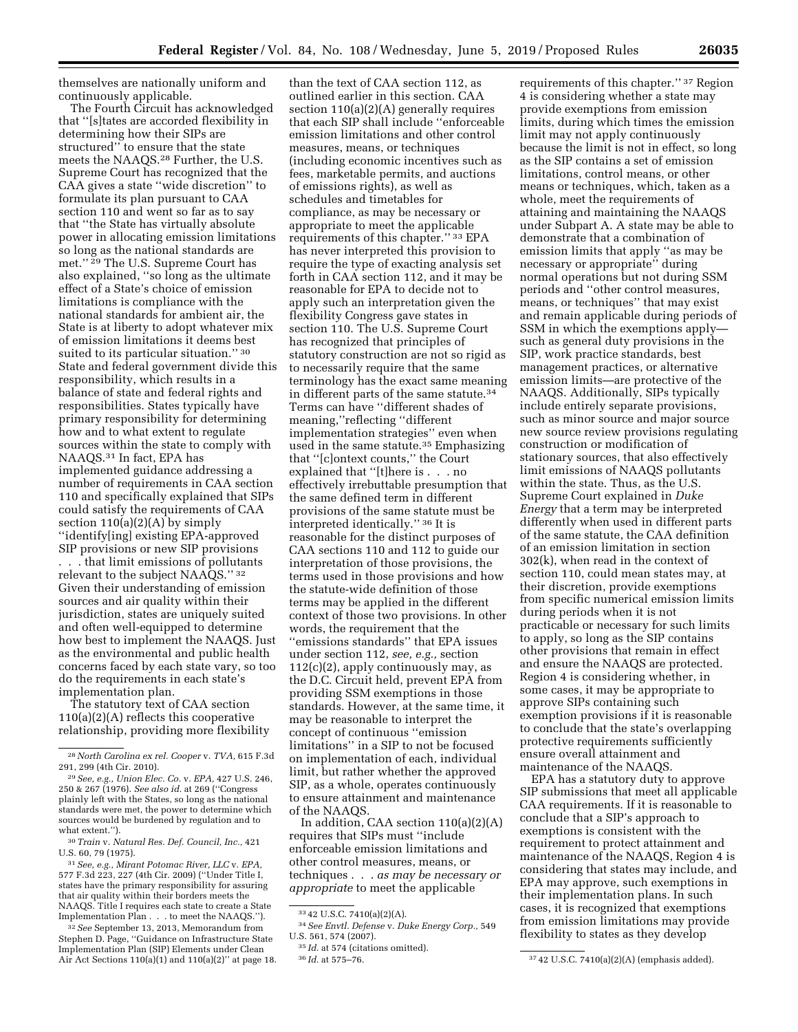themselves are nationally uniform and continuously applicable.

The Fourth Circuit has acknowledged that ''[s]tates are accorded flexibility in determining how their SIPs are structured'' to ensure that the state meets the NAAQS.28 Further, the U.S. Supreme Court has recognized that the CAA gives a state ''wide discretion'' to formulate its plan pursuant to CAA section 110 and went so far as to say that ''the State has virtually absolute power in allocating emission limitations so long as the national standards are met.'' 29 The U.S. Supreme Court has also explained, ''so long as the ultimate effect of a State's choice of emission limitations is compliance with the national standards for ambient air, the State is at liberty to adopt whatever mix of emission limitations it deems best suited to its particular situation."<sup>30</sup> State and federal government divide this responsibility, which results in a balance of state and federal rights and responsibilities. States typically have primary responsibility for determining how and to what extent to regulate sources within the state to comply with NAAQS.31 In fact, EPA has implemented guidance addressing a number of requirements in CAA section 110 and specifically explained that SIPs could satisfy the requirements of CAA section  $110(a)(2)(A)$  by simply ''identify[ing] existing EPA-approved SIP provisions or new SIP provisions . . . that limit emissions of pollutants relevant to the subject NAAQS.'' 32 Given their understanding of emission sources and air quality within their jurisdiction, states are uniquely suited and often well-equipped to determine how best to implement the NAAQS. Just as the environmental and public health concerns faced by each state vary, so too do the requirements in each state's implementation plan.

The statutory text of CAA section 110(a)(2)(A) reflects this cooperative relationship, providing more flexibility

30*Train* v. *Natural Res. Def. Council, Inc.,* 421 U.S. 60, 79 (1975).

31*See, e.g., Mirant Potomac River, LLC* v. *EPA,*  577 F.3d 223, 227 (4th Cir. 2009) (''Under Title I, states have the primary responsibility for assuring that air quality within their borders meets the NAAQS. Title I requires each state to create a State Implementation Plan . . . to meet the NAAQS.'').

32*See* September 13, 2013, Memorandum from Stephen D. Page, ''Guidance on Infrastructure State Implementation Plan (SIP) Elements under Clean Air Act Sections 110(a)(1) and 110(a)(2)'' at page 18.

than the text of CAA section 112, as outlined earlier in this section. CAA section 110(a)(2)(A) generally requires that each SIP shall include ''enforceable emission limitations and other control measures, means, or techniques (including economic incentives such as fees, marketable permits, and auctions of emissions rights), as well as schedules and timetables for compliance, as may be necessary or appropriate to meet the applicable requirements of this chapter.'' 33 EPA has never interpreted this provision to require the type of exacting analysis set forth in CAA section 112, and it may be reasonable for EPA to decide not to apply such an interpretation given the flexibility Congress gave states in section 110. The U.S. Supreme Court has recognized that principles of statutory construction are not so rigid as to necessarily require that the same terminology has the exact same meaning in different parts of the same statute.34 Terms can have ''different shades of meaning,''reflecting ''different implementation strategies'' even when used in the same statute.35 Emphasizing that ''[c]ontext counts,'' the Court explained that ''[t]here is . . . no effectively irrebuttable presumption that the same defined term in different provisions of the same statute must be interpreted identically.'' 36 It is reasonable for the distinct purposes of CAA sections 110 and 112 to guide our interpretation of those provisions, the terms used in those provisions and how the statute-wide definition of those terms may be applied in the different context of those two provisions. In other words, the requirement that the ''emissions standards'' that EPA issues under section 112, *see, e.g.,* section  $112(c)(2)$ , apply continuously may, as the D.C. Circuit held, prevent EPA from providing SSM exemptions in those standards. However, at the same time, it may be reasonable to interpret the concept of continuous ''emission limitations'' in a SIP to not be focused on implementation of each, individual limit, but rather whether the approved SIP, as a whole, operates continuously to ensure attainment and maintenance of the NAAQS.

In addition, CAA section 110(a)(2)(A) requires that SIPs must ''include enforceable emission limitations and other control measures, means, or techniques . . . *as may be necessary or appropriate* to meet the applicable

requirements of this chapter.'' 37 Region 4 is considering whether a state may provide exemptions from emission limits, during which times the emission limit may not apply continuously because the limit is not in effect, so long as the SIP contains a set of emission limitations, control means, or other means or techniques, which, taken as a whole, meet the requirements of attaining and maintaining the NAAQS under Subpart A. A state may be able to demonstrate that a combination of emission limits that apply ''as may be necessary or appropriate'' during normal operations but not during SSM periods and ''other control measures, means, or techniques'' that may exist and remain applicable during periods of SSM in which the exemptions apply such as general duty provisions in the SIP, work practice standards, best management practices, or alternative emission limits—are protective of the NAAQS. Additionally, SIPs typically include entirely separate provisions, such as minor source and major source new source review provisions regulating construction or modification of stationary sources, that also effectively limit emissions of NAAQS pollutants within the state. Thus, as the U.S. Supreme Court explained in *Duke Energy* that a term may be interpreted differently when used in different parts of the same statute, the CAA definition of an emission limitation in section 302(k), when read in the context of section 110, could mean states may, at their discretion, provide exemptions from specific numerical emission limits during periods when it is not practicable or necessary for such limits to apply, so long as the SIP contains other provisions that remain in effect and ensure the NAAQS are protected. Region 4 is considering whether, in some cases, it may be appropriate to approve SIPs containing such exemption provisions if it is reasonable to conclude that the state's overlapping protective requirements sufficiently ensure overall attainment and maintenance of the NAAQS.

EPA has a statutory duty to approve SIP submissions that meet all applicable CAA requirements. If it is reasonable to conclude that a SIP's approach to exemptions is consistent with the requirement to protect attainment and maintenance of the NAAQS, Region 4 is considering that states may include, and EPA may approve, such exemptions in their implementation plans. In such cases, it is recognized that exemptions from emission limitations may provide flexibility to states as they develop

<sup>28</sup>*North Carolina ex rel. Cooper* v. *TVA,* 615 F.3d 291, 299 (4th Cir. 2010).

<sup>29</sup>*See, e.g., Union Elec. Co.* v. *EPA,* 427 U.S. 246, 250 & 267 (1976). *See also id.* at 269 (''Congress plainly left with the States, so long as the national standards were met, the power to determine which sources would be burdened by regulation and to what extent.'').

<sup>33</sup> 42 U.S.C. 7410(a)(2)(A).

<sup>34</sup>*See Envtl. Defense* v. *Duke Energy Corp.,* 549 U.S. 561, 574 (2007).

<sup>35</sup> *Id.* at 574 (citations omitted).

<sup>36</sup> *Id.* at 575–76. 37 42 U.S.C. 7410(a)(2)(A) (emphasis added).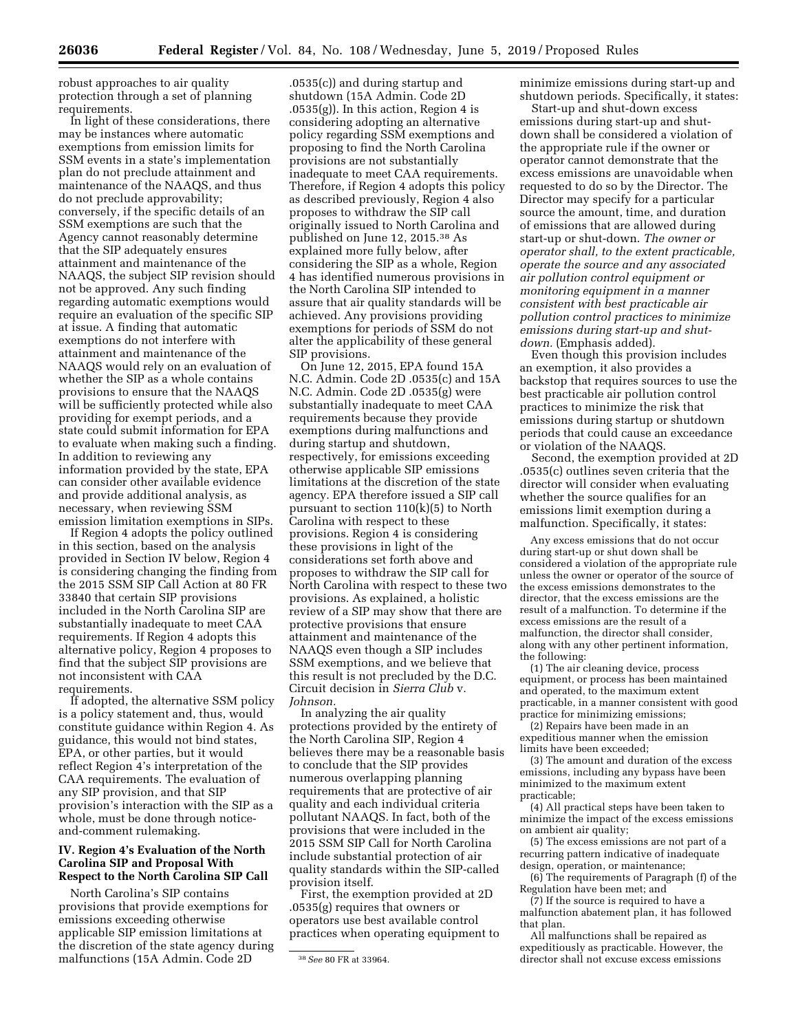robust approaches to air quality protection through a set of planning requirements.

In light of these considerations, there may be instances where automatic exemptions from emission limits for SSM events in a state's implementation plan do not preclude attainment and maintenance of the NAAQS, and thus do not preclude approvability; conversely, if the specific details of an SSM exemptions are such that the Agency cannot reasonably determine that the SIP adequately ensures attainment and maintenance of the NAAQS, the subject SIP revision should not be approved. Any such finding regarding automatic exemptions would require an evaluation of the specific SIP at issue. A finding that automatic exemptions do not interfere with attainment and maintenance of the NAAQS would rely on an evaluation of whether the SIP as a whole contains provisions to ensure that the NAAQS will be sufficiently protected while also providing for exempt periods, and a state could submit information for EPA to evaluate when making such a finding. In addition to reviewing any information provided by the state, EPA can consider other available evidence and provide additional analysis, as necessary, when reviewing SSM emission limitation exemptions in SIPs.

If Region 4 adopts the policy outlined in this section, based on the analysis provided in Section IV below, Region 4 is considering changing the finding from the 2015 SSM SIP Call Action at 80 FR 33840 that certain SIP provisions included in the North Carolina SIP are substantially inadequate to meet CAA requirements. If Region 4 adopts this alternative policy, Region 4 proposes to find that the subject SIP provisions are not inconsistent with CAA requirements.

If adopted, the alternative SSM policy is a policy statement and, thus, would constitute guidance within Region 4. As guidance, this would not bind states, EPA, or other parties, but it would reflect Region 4's interpretation of the CAA requirements. The evaluation of any SIP provision, and that SIP provision's interaction with the SIP as a whole, must be done through noticeand-comment rulemaking.

# **IV. Region 4's Evaluation of the North Carolina SIP and Proposal With Respect to the North Carolina SIP Call**

North Carolina's SIP contains provisions that provide exemptions for emissions exceeding otherwise applicable SIP emission limitations at the discretion of the state agency during malfunctions (15A Admin. Code 2D

.0535(c)) and during startup and shutdown (15A Admin. Code 2D  $.0535(g)$ . In this action, Region 4 is considering adopting an alternative policy regarding SSM exemptions and proposing to find the North Carolina provisions are not substantially inadequate to meet CAA requirements. Therefore, if Region 4 adopts this policy as described previously, Region 4 also proposes to withdraw the SIP call originally issued to North Carolina and published on June 12, 2015.38 As explained more fully below, after considering the SIP as a whole, Region 4 has identified numerous provisions in the North Carolina SIP intended to assure that air quality standards will be achieved. Any provisions providing exemptions for periods of SSM do not alter the applicability of these general SIP provisions.

On June 12, 2015, EPA found 15A N.C. Admin. Code 2D .0535(c) and 15A N.C. Admin. Code 2D .0535(g) were substantially inadequate to meet CAA requirements because they provide exemptions during malfunctions and during startup and shutdown, respectively, for emissions exceeding otherwise applicable SIP emissions limitations at the discretion of the state agency. EPA therefore issued a SIP call pursuant to section 110(k)(5) to North Carolina with respect to these provisions. Region 4 is considering these provisions in light of the considerations set forth above and proposes to withdraw the SIP call for North Carolina with respect to these two provisions. As explained, a holistic review of a SIP may show that there are protective provisions that ensure attainment and maintenance of the NAAQS even though a SIP includes SSM exemptions, and we believe that this result is not precluded by the D.C. Circuit decision in *Sierra Club* v. *Johnson.* 

In analyzing the air quality protections provided by the entirety of the North Carolina SIP, Region 4 believes there may be a reasonable basis to conclude that the SIP provides numerous overlapping planning requirements that are protective of air quality and each individual criteria pollutant NAAQS. In fact, both of the provisions that were included in the 2015 SSM SIP Call for North Carolina include substantial protection of air quality standards within the SIP-called provision itself.

First, the exemption provided at 2D .0535(g) requires that owners or operators use best available control practices when operating equipment to minimize emissions during start-up and shutdown periods. Specifically, it states:

Start-up and shut-down excess emissions during start-up and shutdown shall be considered a violation of the appropriate rule if the owner or operator cannot demonstrate that the excess emissions are unavoidable when requested to do so by the Director. The Director may specify for a particular source the amount, time, and duration of emissions that are allowed during start-up or shut-down. *The owner or operator shall, to the extent practicable, operate the source and any associated air pollution control equipment or monitoring equipment in a manner consistent with best practicable air pollution control practices to minimize emissions during start-up and shutdown.* (Emphasis added).

Even though this provision includes an exemption, it also provides a backstop that requires sources to use the best practicable air pollution control practices to minimize the risk that emissions during startup or shutdown periods that could cause an exceedance or violation of the NAAQS.

Second, the exemption provided at 2D .0535(c) outlines seven criteria that the director will consider when evaluating whether the source qualifies for an emissions limit exemption during a malfunction. Specifically, it states:

Any excess emissions that do not occur during start-up or shut down shall be considered a violation of the appropriate rule unless the owner or operator of the source of the excess emissions demonstrates to the director, that the excess emissions are the result of a malfunction. To determine if the excess emissions are the result of a malfunction, the director shall consider, along with any other pertinent information, the following:

(1) The air cleaning device, process equipment, or process has been maintained and operated, to the maximum extent practicable, in a manner consistent with good practice for minimizing emissions;

(2) Repairs have been made in an expeditious manner when the emission limits have been exceeded;

(3) The amount and duration of the excess emissions, including any bypass have been minimized to the maximum extent practicable;

(4) All practical steps have been taken to minimize the impact of the excess emissions on ambient air quality;

(5) The excess emissions are not part of a recurring pattern indicative of inadequate design, operation, or maintenance;

(6) The requirements of Paragraph (f) of the Regulation have been met; and

(7) If the source is required to have a malfunction abatement plan, it has followed that plan.

All malfunctions shall be repaired as expeditiously as practicable. However, the director shall not excuse excess emissions

<sup>38</sup>*See* 80 FR at 33964.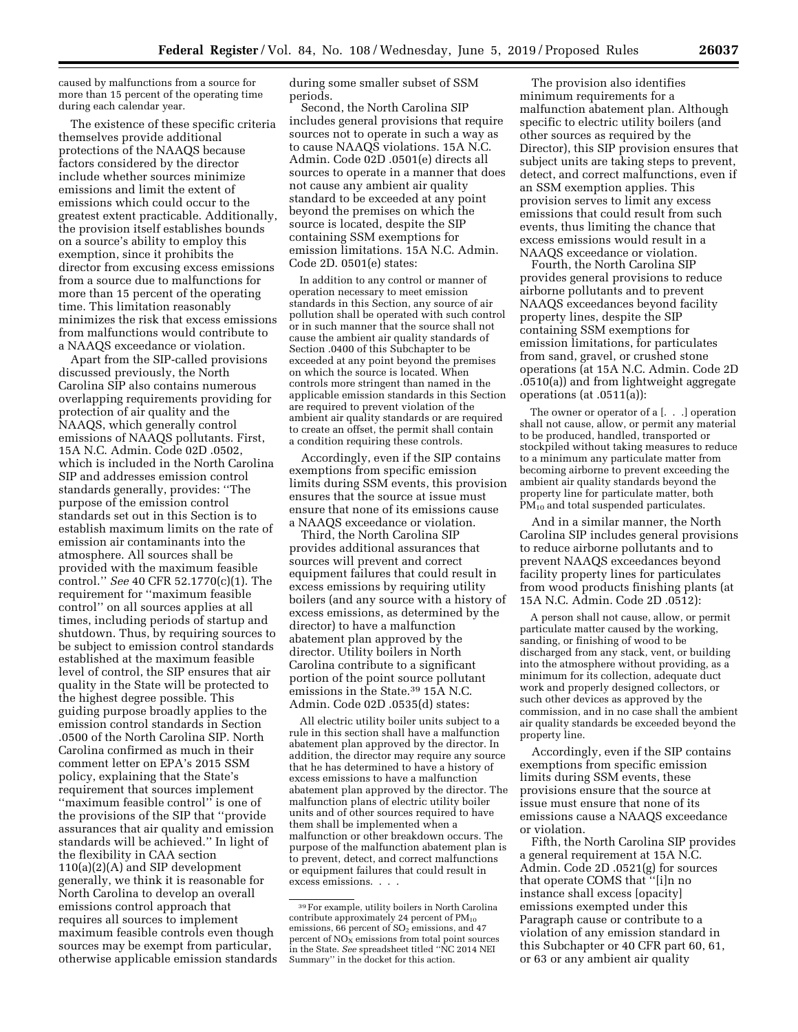caused by malfunctions from a source for more than 15 percent of the operating time during each calendar year.

The existence of these specific criteria themselves provide additional protections of the NAAQS because factors considered by the director include whether sources minimize emissions and limit the extent of emissions which could occur to the greatest extent practicable. Additionally, the provision itself establishes bounds on a source's ability to employ this exemption, since it prohibits the director from excusing excess emissions from a source due to malfunctions for more than 15 percent of the operating time. This limitation reasonably minimizes the risk that excess emissions from malfunctions would contribute to a NAAQS exceedance or violation.

Apart from the SIP-called provisions discussed previously, the North Carolina SIP also contains numerous overlapping requirements providing for protection of air quality and the NAAQS, which generally control emissions of NAAQS pollutants. First, 15A N.C. Admin. Code 02D .0502, which is included in the North Carolina SIP and addresses emission control standards generally, provides: ''The purpose of the emission control standards set out in this Section is to establish maximum limits on the rate of emission air contaminants into the atmosphere. All sources shall be provided with the maximum feasible control.'' *See* 40 CFR 52.1770(c)(1). The requirement for ''maximum feasible control'' on all sources applies at all times, including periods of startup and shutdown. Thus, by requiring sources to be subject to emission control standards established at the maximum feasible level of control, the SIP ensures that air quality in the State will be protected to the highest degree possible. This guiding purpose broadly applies to the emission control standards in Section .0500 of the North Carolina SIP. North Carolina confirmed as much in their comment letter on EPA's 2015 SSM policy, explaining that the State's requirement that sources implement "maximum feasible control" is one of the provisions of the SIP that ''provide assurances that air quality and emission standards will be achieved.'' In light of the flexibility in CAA section 110(a)(2)(A) and SIP development generally, we think it is reasonable for North Carolina to develop an overall emissions control approach that requires all sources to implement maximum feasible controls even though sources may be exempt from particular, otherwise applicable emission standards during some smaller subset of SSM periods.

Second, the North Carolina SIP includes general provisions that require sources not to operate in such a way as to cause NAAQS violations. 15A N.C. Admin. Code 02D .0501(e) directs all sources to operate in a manner that does not cause any ambient air quality standard to be exceeded at any point beyond the premises on which the source is located, despite the SIP containing SSM exemptions for emission limitations. 15A N.C. Admin. Code 2D. 0501(e) states:

In addition to any control or manner of operation necessary to meet emission standards in this Section, any source of air pollution shall be operated with such control or in such manner that the source shall not cause the ambient air quality standards of Section .0400 of this Subchapter to be exceeded at any point beyond the premises on which the source is located. When controls more stringent than named in the applicable emission standards in this Section are required to prevent violation of the ambient air quality standards or are required to create an offset, the permit shall contain a condition requiring these controls.

Accordingly, even if the SIP contains exemptions from specific emission limits during SSM events, this provision ensures that the source at issue must ensure that none of its emissions cause a NAAQS exceedance or violation.

Third, the North Carolina SIP provides additional assurances that sources will prevent and correct equipment failures that could result in excess emissions by requiring utility boilers (and any source with a history of excess emissions, as determined by the director) to have a malfunction abatement plan approved by the director. Utility boilers in North Carolina contribute to a significant portion of the point source pollutant emissions in the State.39 15A N.C. Admin. Code 02D .0535(d) states:

All electric utility boiler units subject to a rule in this section shall have a malfunction abatement plan approved by the director. In addition, the director may require any source that he has determined to have a history of excess emissions to have a malfunction abatement plan approved by the director. The malfunction plans of electric utility boiler units and of other sources required to have them shall be implemented when a malfunction or other breakdown occurs. The purpose of the malfunction abatement plan is to prevent, detect, and correct malfunctions or equipment failures that could result in excess emissions. . . .

The provision also identifies minimum requirements for a malfunction abatement plan. Although specific to electric utility boilers (and other sources as required by the Director), this SIP provision ensures that subject units are taking steps to prevent, detect, and correct malfunctions, even if an SSM exemption applies. This provision serves to limit any excess emissions that could result from such events, thus limiting the chance that excess emissions would result in a NAAQS exceedance or violation.

Fourth, the North Carolina SIP provides general provisions to reduce airborne pollutants and to prevent NAAQS exceedances beyond facility property lines, despite the SIP containing SSM exemptions for emission limitations, for particulates from sand, gravel, or crushed stone operations (at 15A N.C. Admin. Code 2D .0510(a)) and from lightweight aggregate operations (at .0511(a)):

The owner or operator of a [. . .] operation shall not cause, allow, or permit any material to be produced, handled, transported or stockpiled without taking measures to reduce to a minimum any particulate matter from becoming airborne to prevent exceeding the ambient air quality standards beyond the property line for particulate matter, both PM<sub>10</sub> and total suspended particulates.

And in a similar manner, the North Carolina SIP includes general provisions to reduce airborne pollutants and to prevent NAAQS exceedances beyond facility property lines for particulates from wood products finishing plants (at 15A N.C. Admin. Code 2D .0512):

A person shall not cause, allow, or permit particulate matter caused by the working, sanding, or finishing of wood to be discharged from any stack, vent, or building into the atmosphere without providing, as a minimum for its collection, adequate duct work and properly designed collectors, or such other devices as approved by the commission, and in no case shall the ambient air quality standards be exceeded beyond the property line.

Accordingly, even if the SIP contains exemptions from specific emission limits during SSM events, these provisions ensure that the source at issue must ensure that none of its emissions cause a NAAQS exceedance or violation.

Fifth, the North Carolina SIP provides a general requirement at 15A N.C. Admin. Code 2D .0521(g) for sources that operate COMS that ''[i]n no instance shall excess [opacity] emissions exempted under this Paragraph cause or contribute to a violation of any emission standard in this Subchapter or 40 CFR part 60, 61, or 63 or any ambient air quality

<sup>39</sup>For example, utility boilers in North Carolina contribute approximately 24 percent of PM<sub>10</sub> emissions,  $66$  percent of  $SO<sub>2</sub>$  emissions, and 47 percent of  $NO<sub>x</sub>$  emissions from total point sources in the State. *See* spreadsheet titled ''NC 2014 NEI Summary'' in the docket for this action.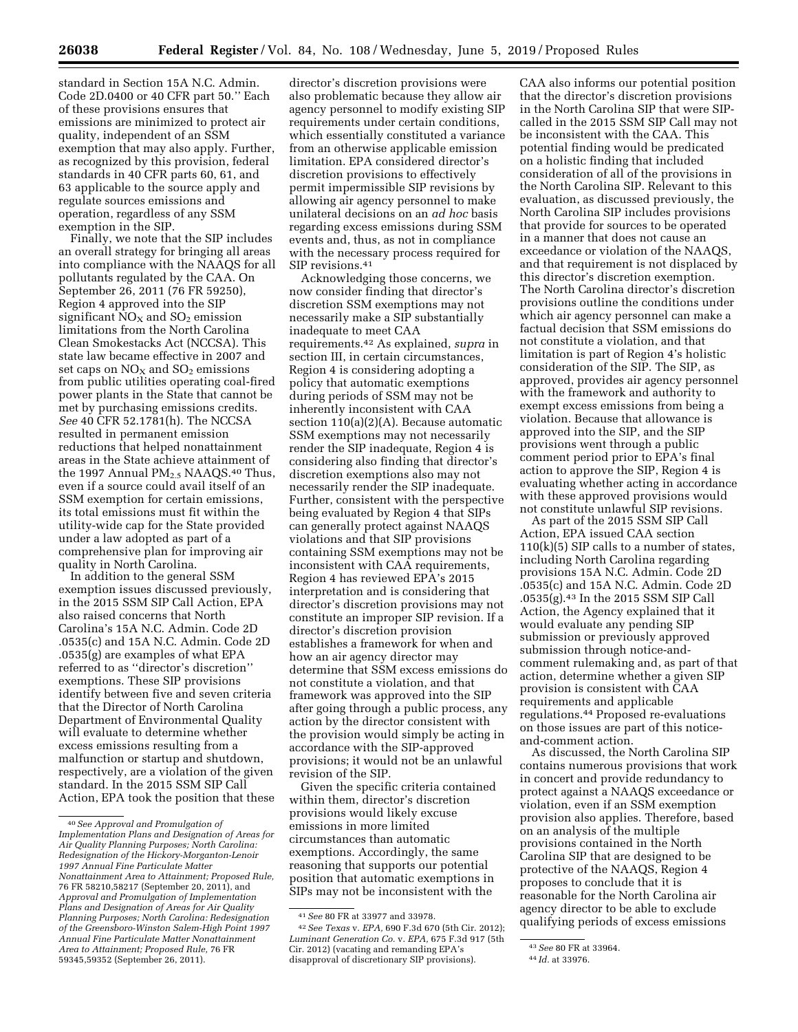standard in Section 15A N.C. Admin. Code 2D.0400 or 40 CFR part 50.'' Each of these provisions ensures that emissions are minimized to protect air quality, independent of an SSM exemption that may also apply. Further, as recognized by this provision, federal standards in 40 CFR parts 60, 61, and 63 applicable to the source apply and regulate sources emissions and operation, regardless of any SSM exemption in the SIP.

Finally, we note that the SIP includes an overall strategy for bringing all areas into compliance with the NAAQS for all pollutants regulated by the CAA. On September 26, 2011 (76 FR 59250), Region 4 approved into the SIP significant  $NO<sub>X</sub>$  and  $SO<sub>2</sub>$  emission limitations from the North Carolina Clean Smokestacks Act (NCCSA). This state law became effective in 2007 and set caps on  $NO<sub>X</sub>$  and  $SO<sub>2</sub>$  emissions from public utilities operating coal-fired power plants in the State that cannot be met by purchasing emissions credits. *See* 40 CFR 52.1781(h). The NCCSA resulted in permanent emission reductions that helped nonattainment areas in the State achieve attainment of the 1997 Annual PM<sub>2.5</sub> NAAQS.<sup>40</sup> Thus, even if a source could avail itself of an SSM exemption for certain emissions, its total emissions must fit within the utility-wide cap for the State provided under a law adopted as part of a comprehensive plan for improving air quality in North Carolina.

In addition to the general SSM exemption issues discussed previously, in the 2015 SSM SIP Call Action, EPA also raised concerns that North Carolina's 15A N.C. Admin. Code 2D .0535(c) and 15A N.C. Admin. Code 2D .0535(g) are examples of what EPA referred to as ''director's discretion'' exemptions. These SIP provisions identify between five and seven criteria that the Director of North Carolina Department of Environmental Quality will evaluate to determine whether excess emissions resulting from a malfunction or startup and shutdown, respectively, are a violation of the given standard. In the 2015 SSM SIP Call Action, EPA took the position that these

director's discretion provisions were also problematic because they allow air agency personnel to modify existing SIP requirements under certain conditions, which essentially constituted a variance from an otherwise applicable emission limitation. EPA considered director's discretion provisions to effectively permit impermissible SIP revisions by allowing air agency personnel to make unilateral decisions on an *ad hoc* basis regarding excess emissions during SSM events and, thus, as not in compliance with the necessary process required for SIP revisions.<sup>41</sup>

Acknowledging those concerns, we now consider finding that director's discretion SSM exemptions may not necessarily make a SIP substantially inadequate to meet CAA requirements.42 As explained, *supra* in section III, in certain circumstances, Region 4 is considering adopting a policy that automatic exemptions during periods of SSM may not be inherently inconsistent with CAA section 110(a)(2)(A). Because automatic SSM exemptions may not necessarily render the SIP inadequate, Region 4 is considering also finding that director's discretion exemptions also may not necessarily render the SIP inadequate. Further, consistent with the perspective being evaluated by Region 4 that SIPs can generally protect against NAAQS violations and that SIP provisions containing SSM exemptions may not be inconsistent with CAA requirements, Region 4 has reviewed EPA's 2015 interpretation and is considering that director's discretion provisions may not constitute an improper SIP revision. If a director's discretion provision establishes a framework for when and how an air agency director may determine that SSM excess emissions do not constitute a violation, and that framework was approved into the SIP after going through a public process, any action by the director consistent with the provision would simply be acting in accordance with the SIP-approved provisions; it would not be an unlawful revision of the SIP.

Given the specific criteria contained within them, director's discretion provisions would likely excuse emissions in more limited circumstances than automatic exemptions. Accordingly, the same reasoning that supports our potential position that automatic exemptions in SIPs may not be inconsistent with the

CAA also informs our potential position that the director's discretion provisions in the North Carolina SIP that were SIPcalled in the 2015 SSM SIP Call may not be inconsistent with the CAA. This potential finding would be predicated on a holistic finding that included consideration of all of the provisions in the North Carolina SIP. Relevant to this evaluation, as discussed previously, the North Carolina SIP includes provisions that provide for sources to be operated in a manner that does not cause an exceedance or violation of the NAAQS, and that requirement is not displaced by this director's discretion exemption. The North Carolina director's discretion provisions outline the conditions under which air agency personnel can make a factual decision that SSM emissions do not constitute a violation, and that limitation is part of Region 4's holistic consideration of the SIP. The SIP, as approved, provides air agency personnel with the framework and authority to exempt excess emissions from being a violation. Because that allowance is approved into the SIP, and the SIP provisions went through a public comment period prior to EPA's final action to approve the SIP, Region 4 is evaluating whether acting in accordance with these approved provisions would not constitute unlawful SIP revisions.

As part of the 2015 SSM SIP Call Action, EPA issued CAA section 110(k)(5) SIP calls to a number of states, including North Carolina regarding provisions 15A N.C. Admin. Code 2D .0535(c) and 15A N.C. Admin. Code 2D .0535(g).43 In the 2015 SSM SIP Call Action, the Agency explained that it would evaluate any pending SIP submission or previously approved submission through notice-andcomment rulemaking and, as part of that action, determine whether a given SIP provision is consistent with CAA requirements and applicable regulations.44 Proposed re-evaluations on those issues are part of this noticeand-comment action.

As discussed, the North Carolina SIP contains numerous provisions that work in concert and provide redundancy to protect against a NAAQS exceedance or violation, even if an SSM exemption provision also applies. Therefore, based on an analysis of the multiple provisions contained in the North Carolina SIP that are designed to be protective of the NAAQS, Region 4 proposes to conclude that it is reasonable for the North Carolina air agency director to be able to exclude qualifying periods of excess emissions

<sup>40</sup>*See Approval and Promulgation of Implementation Plans and Designation of Areas for Air Quality Planning Purposes; North Carolina: Redesignation of the Hickory-Morganton-Lenoir 1997 Annual Fine Particulate Matter Nonattainment Area to Attainment; Proposed Rule,*  76 FR 58210,58217 (September 20, 2011), and *Approval and Promulgation of Implementation Plans and Designation of Areas for Air Quality Planning Purposes; North Carolina: Redesignation of the Greensboro-Winston Salem-High Point 1997 Annual Fine Particulate Matter Nonattainment Area to Attainment; Proposed Rule,* 76 FR 59345,59352 (September 26, 2011).

<sup>41</sup>*See* 80 FR at 33977 and 33978.

<sup>42</sup>*See Texas* v. *EPA,* 690 F.3d 670 (5th Cir. 2012); *Luminant Generation Co.* v. *EPA,* 675 F.3d 917 (5th Cir. 2012) (vacating and remanding EPA's disapproval of discretionary SIP provisions).

<sup>43</sup>*See* 80 FR at 33964.

<sup>44</sup> *Id.* at 33976.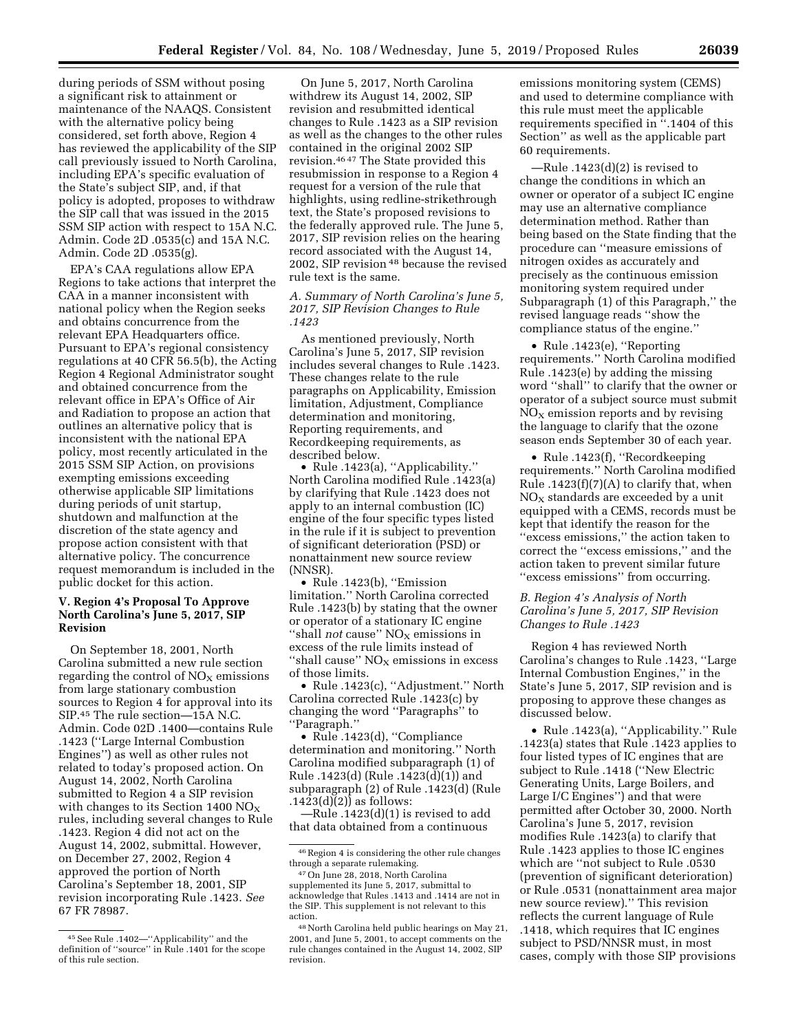during periods of SSM without posing a significant risk to attainment or maintenance of the NAAQS. Consistent with the alternative policy being considered, set forth above, Region 4 has reviewed the applicability of the SIP call previously issued to North Carolina, including EPA's specific evaluation of the State's subject SIP, and, if that policy is adopted, proposes to withdraw the SIP call that was issued in the 2015 SSM SIP action with respect to 15A N.C. Admin. Code 2D .0535(c) and 15A N.C. Admin. Code 2D .0535(g).

EPA's CAA regulations allow EPA Regions to take actions that interpret the CAA in a manner inconsistent with national policy when the Region seeks and obtains concurrence from the relevant EPA Headquarters office. Pursuant to EPA's regional consistency regulations at 40 CFR 56.5(b), the Acting Region 4 Regional Administrator sought and obtained concurrence from the relevant office in EPA's Office of Air and Radiation to propose an action that outlines an alternative policy that is inconsistent with the national EPA policy, most recently articulated in the 2015 SSM SIP Action, on provisions exempting emissions exceeding otherwise applicable SIP limitations during periods of unit startup, shutdown and malfunction at the discretion of the state agency and propose action consistent with that alternative policy. The concurrence request memorandum is included in the public docket for this action.

# **V. Region 4's Proposal To Approve North Carolina's June 5, 2017, SIP Revision**

On September 18, 2001, North Carolina submitted a new rule section regarding the control of  $NO<sub>x</sub>$  emissions from large stationary combustion sources to Region 4 for approval into its SIP.45 The rule section—15A N.C. Admin. Code 02D .1400—contains Rule .1423 (''Large Internal Combustion Engines'') as well as other rules not related to today's proposed action. On August 14, 2002, North Carolina submitted to Region 4 a SIP revision with changes to its Section 1400  $NO_X$ rules, including several changes to Rule .1423. Region 4 did not act on the August 14, 2002, submittal. However, on December 27, 2002, Region 4 approved the portion of North Carolina's September 18, 2001, SIP revision incorporating Rule .1423. *See*  67 FR 78987.

On June 5, 2017, North Carolina withdrew its August 14, 2002, SIP revision and resubmitted identical changes to Rule .1423 as a SIP revision as well as the changes to the other rules contained in the original 2002 SIP revision.46 47 The State provided this resubmission in response to a Region 4 request for a version of the rule that highlights, using redline-strikethrough text, the State's proposed revisions to the federally approved rule. The June 5, 2017, SIP revision relies on the hearing record associated with the August 14, 2002, SIP revision 48 because the revised rule text is the same.

#### *A. Summary of North Carolina's June 5, 2017, SIP Revision Changes to Rule .1423*

As mentioned previously, North Carolina's June 5, 2017, SIP revision includes several changes to Rule .1423. These changes relate to the rule paragraphs on Applicability, Emission limitation, Adjustment, Compliance determination and monitoring, Reporting requirements, and Recordkeeping requirements, as described below.

• Rule .1423(a), ''Applicability.'' North Carolina modified Rule .1423(a) by clarifying that Rule .1423 does not apply to an internal combustion (IC) engine of the four specific types listed in the rule if it is subject to prevention of significant deterioration (PSD) or nonattainment new source review (NNSR).

• Rule .1423(b), ''Emission limitation.'' North Carolina corrected Rule .1423(b) by stating that the owner or operator of a stationary IC engine "shall *not* cause" NO<sub>X</sub> emissions in excess of the rule limits instead of "shall cause"  $NO<sub>X</sub>$  emissions in excess of those limits.

• Rule .1423(c), "Adjustment." North Carolina corrected Rule .1423(c) by changing the word ''Paragraphs'' to ''Paragraph.''

• Rule .1423(d), ''Compliance determination and monitoring.'' North Carolina modified subparagraph (1) of Rule .1423(d) (Rule .1423(d)(1)) and subparagraph (2) of Rule .1423(d) (Rule  $.1423(d)(2)$ ) as follows:

—Rule .1423(d)(1) is revised to add that data obtained from a continuous

emissions monitoring system (CEMS) and used to determine compliance with this rule must meet the applicable requirements specified in ''.1404 of this Section'' as well as the applicable part 60 requirements.

—Rule .1423(d)(2) is revised to change the conditions in which an owner or operator of a subject IC engine may use an alternative compliance determination method. Rather than being based on the State finding that the procedure can ''measure emissions of nitrogen oxides as accurately and precisely as the continuous emission monitoring system required under Subparagraph (1) of this Paragraph,'' the revised language reads ''show the compliance status of the engine.''

• Rule .1423(e), ''Reporting requirements.'' North Carolina modified Rule .1423(e) by adding the missing word ''shall'' to clarify that the owner or operator of a subject source must submit  $NO<sub>x</sub>$  emission reports and by revising the language to clarify that the ozone season ends September 30 of each year.

• Rule .1423(f), "Recordkeeping requirements.'' North Carolina modified Rule  $.1423(f)(7)(A)$  to clarify that, when  $NO<sub>x</sub>$  standards are exceeded by a unit equipped with a CEMS, records must be kept that identify the reason for the ''excess emissions,'' the action taken to correct the ''excess emissions,'' and the action taken to prevent similar future ''excess emissions'' from occurring.

*B. Region 4's Analysis of North Carolina's June 5, 2017, SIP Revision Changes to Rule .1423* 

Region 4 has reviewed North Carolina's changes to Rule .1423, ''Large Internal Combustion Engines,'' in the State's June 5, 2017, SIP revision and is proposing to approve these changes as discussed below.

• Rule .1423(a), ''Applicability.'' Rule .1423(a) states that Rule .1423 applies to four listed types of IC engines that are subject to Rule .1418 (''New Electric Generating Units, Large Boilers, and Large I/C Engines'') and that were permitted after October 30, 2000. North Carolina's June 5, 2017, revision modifies Rule .1423(a) to clarify that Rule .1423 applies to those IC engines which are ''not subject to Rule .0530 (prevention of significant deterioration) or Rule .0531 (nonattainment area major new source review).'' This revision reflects the current language of Rule .1418, which requires that IC engines subject to PSD/NNSR must, in most cases, comply with those SIP provisions

<sup>45</sup>See Rule .1402—''Applicability'' and the definition of ''source'' in Rule .1401 for the scope of this rule section.

<sup>46</sup>Region 4 is considering the other rule changes through a separate rulemaking.

<sup>47</sup>On June 28, 2018, North Carolina supplemented its June 5, 2017, submittal to acknowledge that Rules .1413 and .1414 are not in the SIP. This supplement is not relevant to this action.

<sup>48</sup>North Carolina held public hearings on May 21, 2001, and June 5, 2001, to accept comments on the rule changes contained in the August 14, 2002, SIP revision.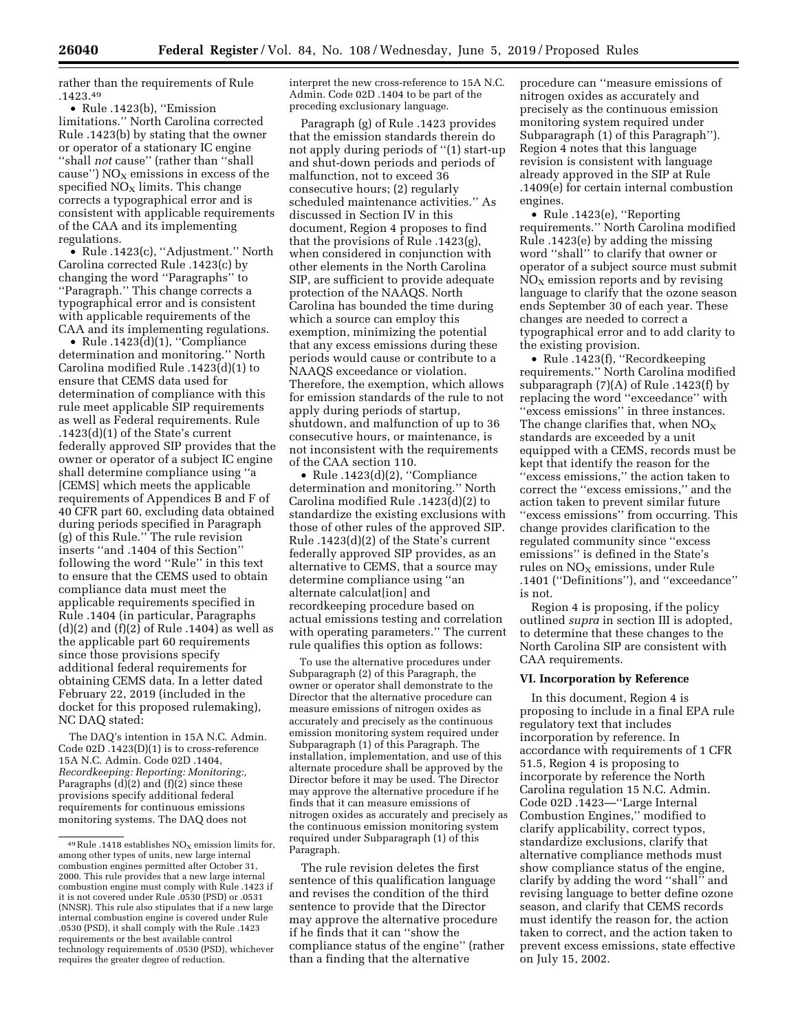rather than the requirements of Rule .1423.49

• Rule .1423(b), ''Emission limitations.'' North Carolina corrected Rule .1423(b) by stating that the owner or operator of a stationary IC engine ''shall *not* cause'' (rather than ''shall cause")  $NO<sub>x</sub>$  emissions in excess of the specified  $NO<sub>x</sub>$  limits. This change corrects a typographical error and is consistent with applicable requirements of the CAA and its implementing regulations.

• Rule .1423(c), "Adjustment." North Carolina corrected Rule .1423(c) by changing the word ''Paragraphs'' to ''Paragraph.'' This change corrects a typographical error and is consistent with applicable requirements of the CAA and its implementing regulations.

• Rule  $.1423(d)(1)$ , "Compliance determination and monitoring.'' North Carolina modified Rule .1423(d)(1) to ensure that CEMS data used for determination of compliance with this rule meet applicable SIP requirements as well as Federal requirements. Rule .1423(d)(1) of the State's current federally approved SIP provides that the owner or operator of a subject IC engine shall determine compliance using ''a [CEMS] which meets the applicable requirements of Appendices B and F of 40 CFR part 60, excluding data obtained during periods specified in Paragraph (g) of this Rule.'' The rule revision inserts ''and .1404 of this Section'' following the word ''Rule'' in this text to ensure that the CEMS used to obtain compliance data must meet the applicable requirements specified in Rule .1404 (in particular, Paragraphs  $(d)(2)$  and  $(f)(2)$  of Rule .1404) as well as the applicable part 60 requirements since those provisions specify additional federal requirements for obtaining CEMS data. In a letter dated February 22, 2019 (included in the docket for this proposed rulemaking), NC DAQ stated:

The DAQ's intention in 15A N.C. Admin. Code 02D .1423(D)(1) is to cross-reference 15A N.C. Admin. Code 02D .1404, *Recordkeeping: Reporting: Monitoring:,*  Paragraphs  $(d)(2)$  and  $(f)(2)$  since these provisions specify additional federal requirements for continuous emissions monitoring systems. The DAQ does not

interpret the new cross-reference to 15A N.C. Admin. Code 02D .1404 to be part of the preceding exclusionary language.

Paragraph (g) of Rule .1423 provides that the emission standards therein do not apply during periods of ''(1) start-up and shut-down periods and periods of malfunction, not to exceed 36 consecutive hours; (2) regularly scheduled maintenance activities.'' As discussed in Section IV in this document, Region 4 proposes to find that the provisions of Rule .1423(g), when considered in conjunction with other elements in the North Carolina SIP, are sufficient to provide adequate protection of the NAAQS. North Carolina has bounded the time during which a source can employ this exemption, minimizing the potential that any excess emissions during these periods would cause or contribute to a NAAQS exceedance or violation. Therefore, the exemption, which allows for emission standards of the rule to not apply during periods of startup, shutdown, and malfunction of up to 36 consecutive hours, or maintenance, is not inconsistent with the requirements of the CAA section 110.

• Rule .1423(d)(2), ''Compliance determination and monitoring.'' North Carolina modified Rule .1423(d)(2) to standardize the existing exclusions with those of other rules of the approved SIP. Rule .1423(d)(2) of the State's current federally approved SIP provides, as an alternative to CEMS, that a source may determine compliance using ''an alternate calculat[ion] and recordkeeping procedure based on actual emissions testing and correlation with operating parameters.'' The current rule qualifies this option as follows:

To use the alternative procedures under Subparagraph (2) of this Paragraph, the owner or operator shall demonstrate to the Director that the alternative procedure can measure emissions of nitrogen oxides as accurately and precisely as the continuous emission monitoring system required under Subparagraph (1) of this Paragraph. The installation, implementation, and use of this alternate procedure shall be approved by the Director before it may be used. The Director may approve the alternative procedure if he finds that it can measure emissions of nitrogen oxides as accurately and precisely as the continuous emission monitoring system required under Subparagraph (1) of this Paragraph.

The rule revision deletes the first sentence of this qualification language and revises the condition of the third sentence to provide that the Director may approve the alternative procedure if he finds that it can ''show the compliance status of the engine'' (rather than a finding that the alternative

procedure can ''measure emissions of nitrogen oxides as accurately and precisely as the continuous emission monitoring system required under Subparagraph (1) of this Paragraph''). Region 4 notes that this language revision is consistent with language already approved in the SIP at Rule .1409(e) for certain internal combustion engines.

• Rule .1423(e), ''Reporting requirements.'' North Carolina modified Rule .1423(e) by adding the missing word ''shall'' to clarify that owner or operator of a subject source must submit  $NO<sub>x</sub>$  emission reports and by revising language to clarify that the ozone season ends September 30 of each year. These changes are needed to correct a typographical error and to add clarity to the existing provision.

• Rule .1423(f), ''Recordkeeping requirements.'' North Carolina modified subparagraph  $(7)(A)$  of Rule .1423(f) by replacing the word ''exceedance'' with ''excess emissions'' in three instances. The change clarifies that, when  $NO<sub>x</sub>$ standards are exceeded by a unit equipped with a CEMS, records must be kept that identify the reason for the ''excess emissions,'' the action taken to correct the ''excess emissions,'' and the action taken to prevent similar future ''excess emissions'' from occurring. This change provides clarification to the regulated community since ''excess emissions'' is defined in the State's rules on  $NO<sub>X</sub>$  emissions, under Rule .1401 (''Definitions''), and ''exceedance'' is not.

Region 4 is proposing, if the policy outlined *supra* in section III is adopted, to determine that these changes to the North Carolina SIP are consistent with CAA requirements.

### **VI. Incorporation by Reference**

In this document, Region 4 is proposing to include in a final EPA rule regulatory text that includes incorporation by reference. In accordance with requirements of 1 CFR 51.5, Region 4 is proposing to incorporate by reference the North Carolina regulation 15 N.C. Admin. Code 02D .1423—''Large Internal Combustion Engines,'' modified to clarify applicability, correct typos, standardize exclusions, clarify that alternative compliance methods must show compliance status of the engine, clarify by adding the word ''shall'' and revising language to better define ozone season, and clarify that CEMS records must identify the reason for, the action taken to correct, and the action taken to prevent excess emissions, state effective on July 15, 2002.

 $^{49}\rm{Rule}$  .1418 establishes  $\rm{NO_{X}}$  emission limits for, among other types of units, new large internal combustion engines permitted after October 31, 2000. This rule provides that a new large internal combustion engine must comply with Rule .1423 if it is not covered under Rule .0530 (PSD) or .0531 (NNSR). This rule also stipulates that if a new large internal combustion engine is covered under Rule .0530 (PSD), it shall comply with the Rule .1423 requirements or the best available control technology requirements of .0530 (PSD), whichever requires the greater degree of reduction.